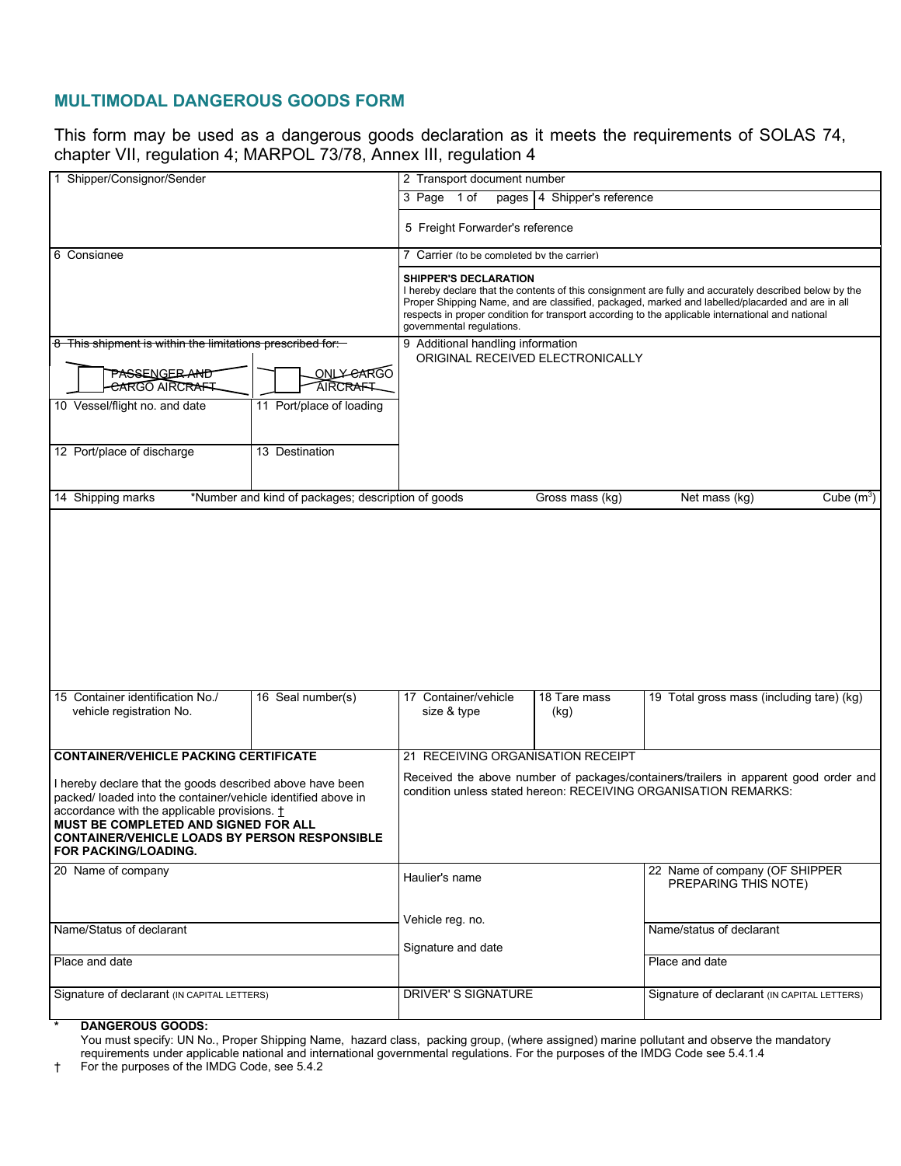## **MULTIMODAL DANGEROUS GOODS FORM**

This form may be used as a dangerous goods declaration as it meets the requirements of SOLAS 74, chapter VII, regulation 4; MARPOL 73/78, Annex III, regulation 4

| 1 Shipper/Consignor/Sender                                                                                                                                                                                                                                                                                                                         |                                                    | 2 Transport document number                                                                                                                                                                                                                                                                                                                                                  |                      |                                             |              |  |  |
|----------------------------------------------------------------------------------------------------------------------------------------------------------------------------------------------------------------------------------------------------------------------------------------------------------------------------------------------------|----------------------------------------------------|------------------------------------------------------------------------------------------------------------------------------------------------------------------------------------------------------------------------------------------------------------------------------------------------------------------------------------------------------------------------------|----------------------|---------------------------------------------|--------------|--|--|
|                                                                                                                                                                                                                                                                                                                                                    |                                                    | 3 Page 1 of<br>pages   4 Shipper's reference                                                                                                                                                                                                                                                                                                                                 |                      |                                             |              |  |  |
|                                                                                                                                                                                                                                                                                                                                                    |                                                    | 5 Freight Forwarder's reference                                                                                                                                                                                                                                                                                                                                              |                      |                                             |              |  |  |
| 6 Consignee                                                                                                                                                                                                                                                                                                                                        |                                                    | 7 Carrier (to be completed by the carrier)                                                                                                                                                                                                                                                                                                                                   |                      |                                             |              |  |  |
|                                                                                                                                                                                                                                                                                                                                                    |                                                    | <b>SHIPPER'S DECLARATION</b><br>I hereby declare that the contents of this consignment are fully and accurately described below by the<br>Proper Shipping Name, and are classified, packaged, marked and labelled/placarded and are in all<br>respects in proper condition for transport according to the applicable international and national<br>governmental regulations. |                      |                                             |              |  |  |
| 8 This shipment is within the limitations prescribed for:                                                                                                                                                                                                                                                                                          |                                                    | 9 Additional handling information                                                                                                                                                                                                                                                                                                                                            |                      |                                             |              |  |  |
|                                                                                                                                                                                                                                                                                                                                                    |                                                    | ORIGINAL RECEIVED ELECTRONICALLY                                                                                                                                                                                                                                                                                                                                             |                      |                                             |              |  |  |
| <b>PASSENGERAND</b><br>CARGO AIRCRAFT                                                                                                                                                                                                                                                                                                              | ONLY-CARGO<br>AIRCRAFT                             |                                                                                                                                                                                                                                                                                                                                                                              |                      |                                             |              |  |  |
| 10 Vessel/flight no. and date                                                                                                                                                                                                                                                                                                                      | 11 Port/place of loading                           |                                                                                                                                                                                                                                                                                                                                                                              |                      |                                             |              |  |  |
|                                                                                                                                                                                                                                                                                                                                                    |                                                    |                                                                                                                                                                                                                                                                                                                                                                              |                      |                                             |              |  |  |
| 12 Port/place of discharge                                                                                                                                                                                                                                                                                                                         | 13 Destination                                     |                                                                                                                                                                                                                                                                                                                                                                              |                      |                                             |              |  |  |
|                                                                                                                                                                                                                                                                                                                                                    |                                                    |                                                                                                                                                                                                                                                                                                                                                                              |                      |                                             |              |  |  |
| 14 Shipping marks                                                                                                                                                                                                                                                                                                                                  | *Number and kind of packages; description of goods |                                                                                                                                                                                                                                                                                                                                                                              | Gross mass (kg)      | Net mass (kg)                               | Cube $(m^3)$ |  |  |
| 15 Container identification No./<br>vehicle registration No.                                                                                                                                                                                                                                                                                       | 16 Seal number(s)                                  | 17 Container/vehicle<br>size & type                                                                                                                                                                                                                                                                                                                                          | 18 Tare mass<br>(kg) | 19 Total gross mass (including tare) (kg)   |              |  |  |
|                                                                                                                                                                                                                                                                                                                                                    |                                                    |                                                                                                                                                                                                                                                                                                                                                                              |                      |                                             |              |  |  |
| <b>CONTAINER/VEHICLE PACKING CERTIFICATE</b><br>I hereby declare that the goods described above have been<br>packed/ loaded into the container/vehicle identified above in<br>accordance with the applicable provisions. +<br>MUST BE COMPLETED AND SIGNED FOR ALL<br><b>CONTAINER/VEHICLE LOADS BY PERSON RESPONSIBLE</b><br>FOR PACKING/LOADING. |                                                    | 21 RECEIVING ORGANISATION RECEIPT<br>Received the above number of packages/containers/trailers in apparent good order and<br>condition unless stated hereon: RECEIVING ORGANISATION REMARKS:                                                                                                                                                                                 |                      |                                             |              |  |  |
| 20 Name of company                                                                                                                                                                                                                                                                                                                                 |                                                    | Haulier's name                                                                                                                                                                                                                                                                                                                                                               |                      | 22 Name of company (OF SHIPPER              |              |  |  |
|                                                                                                                                                                                                                                                                                                                                                    |                                                    |                                                                                                                                                                                                                                                                                                                                                                              |                      | PREPARING THIS NOTE)                        |              |  |  |
| Name/Status of declarant                                                                                                                                                                                                                                                                                                                           |                                                    | Vehicle reg. no.                                                                                                                                                                                                                                                                                                                                                             |                      | Name/status of declarant                    |              |  |  |
|                                                                                                                                                                                                                                                                                                                                                    |                                                    | Signature and date                                                                                                                                                                                                                                                                                                                                                           |                      |                                             |              |  |  |
| Place and date                                                                                                                                                                                                                                                                                                                                     |                                                    |                                                                                                                                                                                                                                                                                                                                                                              |                      | Place and date                              |              |  |  |
| Signature of declarant (IN CAPITAL LETTERS)                                                                                                                                                                                                                                                                                                        |                                                    | <b>DRIVER'S SIGNATURE</b>                                                                                                                                                                                                                                                                                                                                                    |                      | Signature of declarant (IN CAPITAL LETTERS) |              |  |  |
| <b>DANGEDOUS COODS.</b>                                                                                                                                                                                                                                                                                                                            |                                                    |                                                                                                                                                                                                                                                                                                                                                                              |                      |                                             |              |  |  |

## **\* DANGEROUS GOODS:**

You must specify: UN No., Proper Shipping Name, hazard class, packing group, (where assigned) marine pollutant and observe the mandatory requirements under applicable national and international governmental regulations. For the purposes of the IMDG Code se[e 5.4.1.4](http://www5.imo.org/SharePoint/mspinard/Local%20Settings/Temp/54.htm#5.4.1.4#5.4.1.4)

† For the purposes of the IMDG Code, se[e 5.4.2](http://www5.imo.org/SharePoint/mspinard/Local%20Settings/Temp/54.htm#5.4.2#5.4.2)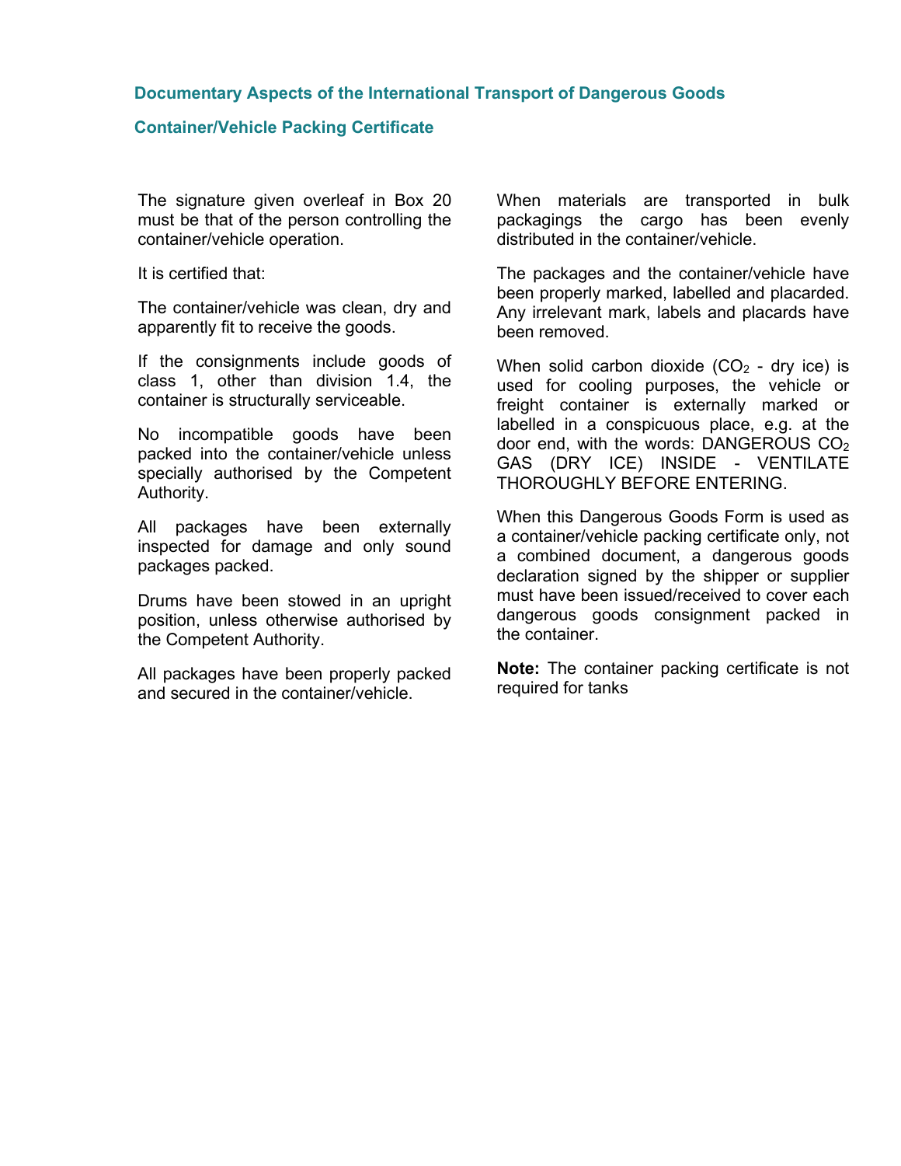## **Documentary Aspects of the International Transport of Dangerous Goods**

## **Container/Vehicle Packing Certificate**

The signature given overleaf in Box 20 must be that of the person controlling the container/vehicle operation.

It is certified that:

The container/vehicle was clean, dry and apparently fit to receive the goods.

If the consignments include goods of class 1, other than division 1.4, the container is structurally serviceable.

No incompatible goods have been packed into the container/vehicle unless specially authorised by the Competent Authority.

All packages have been externally inspected for damage and only sound packages packed.

Drums have been stowed in an upright position, unless otherwise authorised by the Competent Authority.

All packages have been properly packed and secured in the container/vehicle.

When materials are transported in bulk packagings the cargo has been evenly distributed in the container/vehicle.

The packages and the container/vehicle have been properly marked, labelled and placarded. Any irrelevant mark, labels and placards have been removed.

When solid carbon dioxide  $(CO<sub>2</sub> - dry ice)$  is used for cooling purposes, the vehicle or freight container is externally marked or labelled in a conspicuous place, e.g. at the door end, with the words: DANGEROUS CO2 GAS (DRY ICE) INSIDE - VENTILATE THOROUGHLY BEFORE ENTERING.

When this Dangerous Goods Form is used as a container/vehicle packing certificate only, not a combined document, a dangerous goods declaration signed by the shipper or supplier must have been issued/received to cover each dangerous goods consignment packed in the container.

**Note:** The container packing certificate is not required for tanks